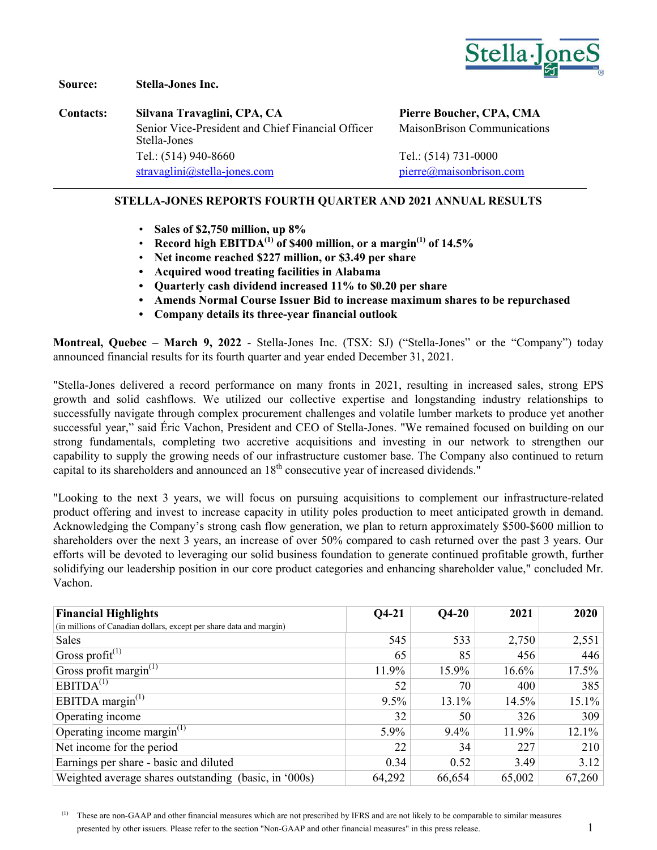

**Source: Stella-Jones Inc.**

**Contacts: Silvana Travaglini, CPA, CA Pierre Boucher, CPA, CMA** Senior Vice-President and Chief Financial Officer Stella-Jones Tel.: (514) 940-8660 Tel.: (514) 731-0000 [stravaglini@stella-jones.com](mailto:stravaglini@stella-jones.com) [pierre@maisonbrison.com](mailto:pierre@maisonbrison.com)

MaisonBrison Communications

### **STELLA-JONES REPORTS FOURTH QUARTER AND 2021 ANNUAL RESULTS**

- **Sales of \$2,750 million, up 8%**
- **Record high EBITDA(1) of \$400 million, or a margin(1) of 14.5%**
- **Net income reached \$227 million, or \$3.49 per share**
- **• Acquired wood treating facilities in Alabama**
- **• Quarterly cash dividend increased 11% to \$0.20 per share**
- **• Amends Normal Course Issuer Bid to increase maximum shares to be repurchased**
- **• Company details its three-year financial outlook**

**Montreal, Quebec – March 9, 2022** - Stella-Jones Inc. (TSX: SJ) ("Stella-Jones" or the "Company") today announced financial results for its fourth quarter and year ended December 31, 2021.

"Stella-Jones delivered a record performance on many fronts in 2021, resulting in increased sales, strong EPS growth and solid cashflows. We utilized our collective expertise and longstanding industry relationships to successfully navigate through complex procurement challenges and volatile lumber markets to produce yet another successful year," said Éric Vachon, President and CEO of Stella-Jones. "We remained focused on building on our strong fundamentals, completing two accretive acquisitions and investing in our network to strengthen our capability to supply the growing needs of our infrastructure customer base. The Company also continued to return capital to its shareholders and announced an 18<sup>th</sup> consecutive year of increased dividends."

"Looking to the next 3 years, we will focus on pursuing acquisitions to complement our infrastructure-related product offering and invest to increase capacity in utility poles production to meet anticipated growth in demand. Acknowledging the Company's strong cash flow generation, we plan to return approximately \$500-\$600 million to shareholders over the next 3 years, an increase of over 50% compared to cash returned over the past 3 years. Our efforts will be devoted to leveraging our solid business foundation to generate continued profitable growth, further solidifying our leadership position in our core product categories and enhancing shareholder value," concluded Mr. Vachon.

| <b>Financial Highlights</b>                                         | $Q$ 4-21 | $Q4-20$ | 2021     | 2020     |
|---------------------------------------------------------------------|----------|---------|----------|----------|
| (in millions of Canadian dollars, except per share data and margin) |          |         |          |          |
| Sales                                                               | 545      | 533     | 2,750    | 2,551    |
| <sup><math>\pm</math></sup> Gross profit <sup>(1)</sup>             | 65       | 85      | 456      | 446      |
| Gross profit margin $^{(1)}$                                        | 11.9%    | 15.9%   | $16.6\%$ | 17.5%    |
| EBITDA <sup>(1)</sup>                                               | 52       | 70      | 400      | 385      |
| EBITDA margin $^{(1)}$                                              | 9.5%     | 13.1%   | 14.5%    | $15.1\%$ |
| Operating income                                                    | 32       | 50      | 326      | 309      |
| Operating income margin $^{(1)}$                                    | $5.9\%$  | $9.4\%$ | 11.9%    | $12.1\%$ |
| Net income for the period                                           | 22       | 34      | 227      | 210      |
| Earnings per share - basic and diluted                              | 0.34     | 0.52    | 3.49     | 3.12     |
| Weighted average shares outstanding (basic, in '000s)               | 64,292   | 66,654  | 65,002   | 67,260   |

(1) These are non-GAAP and other financial measures which are not prescribed by IFRS and are not likely to be comparable to similar measures presented by other issuers. Please refer to the section "Non-GAAP and other financial measures" in this press release. 1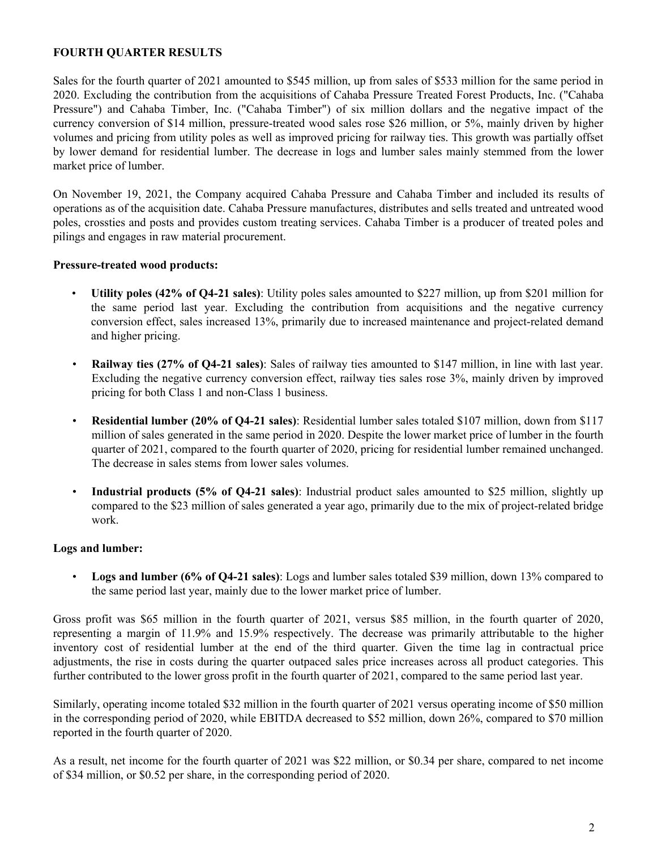#### **FOURTH QUARTER RESULTS**

Sales for the fourth quarter of 2021 amounted to \$545 million, up from sales of \$533 million for the same period in 2020. Excluding the contribution from the acquisitions of Cahaba Pressure Treated Forest Products, Inc. ("Cahaba Pressure") and Cahaba Timber, Inc. ("Cahaba Timber") of six million dollars and the negative impact of the currency conversion of \$14 million, pressure-treated wood sales rose \$26 million, or 5%, mainly driven by higher volumes and pricing from utility poles as well as improved pricing for railway ties. This growth was partially offset by lower demand for residential lumber. The decrease in logs and lumber sales mainly stemmed from the lower market price of lumber.

On November 19, 2021, the Company acquired Cahaba Pressure and Cahaba Timber and included its results of operations as of the acquisition date. Cahaba Pressure manufactures, distributes and sells treated and untreated wood poles, crossties and posts and provides custom treating services. Cahaba Timber is a producer of treated poles and pilings and engages in raw material procurement.

#### **Pressure-treated wood products:**

- **Utility poles (42% of Q4-21 sales)**: Utility poles sales amounted to \$227 million, up from \$201 million for the same period last year. Excluding the contribution from acquisitions and the negative currency conversion effect, sales increased 13%, primarily due to increased maintenance and project-related demand and higher pricing.
- **Railway ties (27% of Q4-21 sales)**: Sales of railway ties amounted to \$147 million, in line with last year. Excluding the negative currency conversion effect, railway ties sales rose 3%, mainly driven by improved pricing for both Class 1 and non-Class 1 business.
- **Residential lumber (20% of Q4-21 sales)**: Residential lumber sales totaled \$107 million, down from \$117 million of sales generated in the same period in 2020. Despite the lower market price of lumber in the fourth quarter of 2021, compared to the fourth quarter of 2020, pricing for residential lumber remained unchanged. The decrease in sales stems from lower sales volumes.
- **Industrial products (5% of Q4-21 sales)**: Industrial product sales amounted to \$25 million, slightly up compared to the \$23 million of sales generated a year ago, primarily due to the mix of project-related bridge work.

#### **Logs and lumber:**

• **Logs and lumber (6% of Q4-21 sales)**: Logs and lumber sales totaled \$39 million, down 13% compared to the same period last year, mainly due to the lower market price of lumber.

Gross profit was \$65 million in the fourth quarter of 2021, versus \$85 million, in the fourth quarter of 2020, representing a margin of 11.9% and 15.9% respectively. The decrease was primarily attributable to the higher inventory cost of residential lumber at the end of the third quarter. Given the time lag in contractual price adjustments, the rise in costs during the quarter outpaced sales price increases across all product categories. This further contributed to the lower gross profit in the fourth quarter of 2021, compared to the same period last year.

Similarly, operating income totaled \$32 million in the fourth quarter of 2021 versus operating income of \$50 million in the corresponding period of 2020, while EBITDA decreased to \$52 million, down 26%, compared to \$70 million reported in the fourth quarter of 2020.

As a result, net income for the fourth quarter of 2021 was \$22 million, or \$0.34 per share, compared to net income of \$34 million, or \$0.52 per share, in the corresponding period of 2020.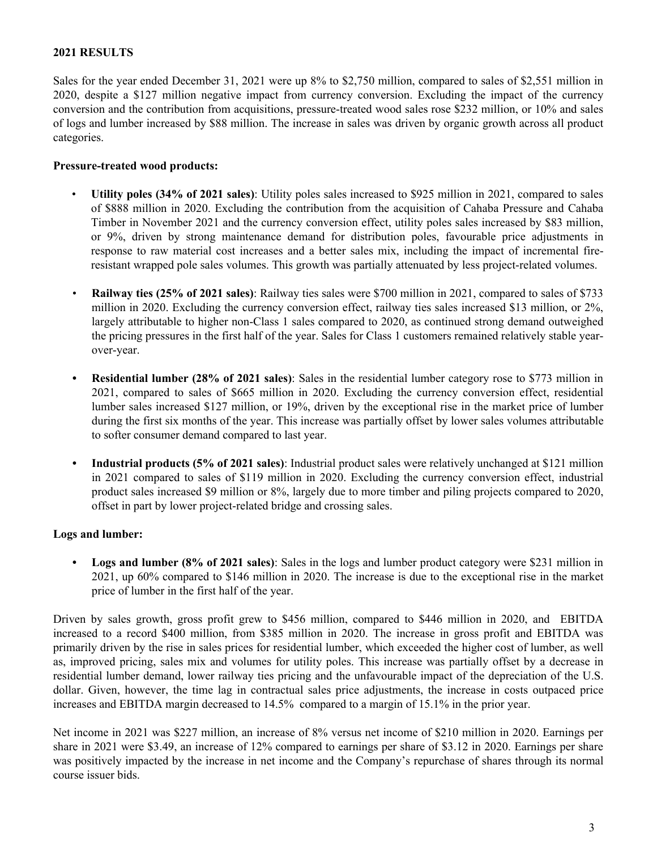### **2021 RESULTS**

Sales for the year ended December 31, 2021 were up 8% to \$2,750 million, compared to sales of \$2,551 million in 2020, despite a \$127 million negative impact from currency conversion. Excluding the impact of the currency conversion and the contribution from acquisitions, pressure-treated wood sales rose \$232 million, or 10% and sales of logs and lumber increased by \$88 million. The increase in sales was driven by organic growth across all product categories.

#### **Pressure-treated wood products:**

- **Utility poles (34% of 2021 sales)**: Utility poles sales increased to \$925 million in 2021, compared to sales of \$888 million in 2020. Excluding the contribution from the acquisition of Cahaba Pressure and Cahaba Timber in November 2021 and the currency conversion effect, utility poles sales increased by \$83 million, or 9%, driven by strong maintenance demand for distribution poles, favourable price adjustments in response to raw material cost increases and a better sales mix, including the impact of incremental fireresistant wrapped pole sales volumes. This growth was partially attenuated by less project-related volumes.
- **Railway ties (25% of 2021 sales)**: Railway ties sales were \$700 million in 2021, compared to sales of \$733 million in 2020. Excluding the currency conversion effect, railway ties sales increased \$13 million, or 2%, largely attributable to higher non-Class 1 sales compared to 2020, as continued strong demand outweighed the pricing pressures in the first half of the year. Sales for Class 1 customers remained relatively stable yearover-year.
- **• Residential lumber (28% of 2021 sales)**: Sales in the residential lumber category rose to \$773 million in 2021, compared to sales of \$665 million in 2020. Excluding the currency conversion effect, residential lumber sales increased \$127 million, or 19%, driven by the exceptional rise in the market price of lumber during the first six months of the year. This increase was partially offset by lower sales volumes attributable to softer consumer demand compared to last year.
- **• Industrial products (5% of 2021 sales)**: Industrial product sales were relatively unchanged at \$121 million in 2021 compared to sales of \$119 million in 2020. Excluding the currency conversion effect, industrial product sales increased \$9 million or 8%, largely due to more timber and piling projects compared to 2020, offset in part by lower project-related bridge and crossing sales.

#### **Logs and lumber:**

**• Logs and lumber (8% of 2021 sales)**: Sales in the logs and lumber product category were \$231 million in 2021, up 60% compared to \$146 million in 2020. The increase is due to the exceptional rise in the market price of lumber in the first half of the year.

Driven by sales growth, gross profit grew to \$456 million, compared to \$446 million in 2020, and EBITDA increased to a record \$400 million, from \$385 million in 2020. The increase in gross profit and EBITDA was primarily driven by the rise in sales prices for residential lumber, which exceeded the higher cost of lumber, as well as, improved pricing, sales mix and volumes for utility poles. This increase was partially offset by a decrease in residential lumber demand, lower railway ties pricing and the unfavourable impact of the depreciation of the U.S. dollar. Given, however, the time lag in contractual sales price adjustments, the increase in costs outpaced price increases and EBITDA margin decreased to 14.5% compared to a margin of 15.1% in the prior year.

Net income in 2021 was \$227 million, an increase of 8% versus net income of \$210 million in 2020. Earnings per share in 2021 were \$3.49, an increase of 12% compared to earnings per share of \$3.12 in 2020. Earnings per share was positively impacted by the increase in net income and the Company's repurchase of shares through its normal course issuer bids.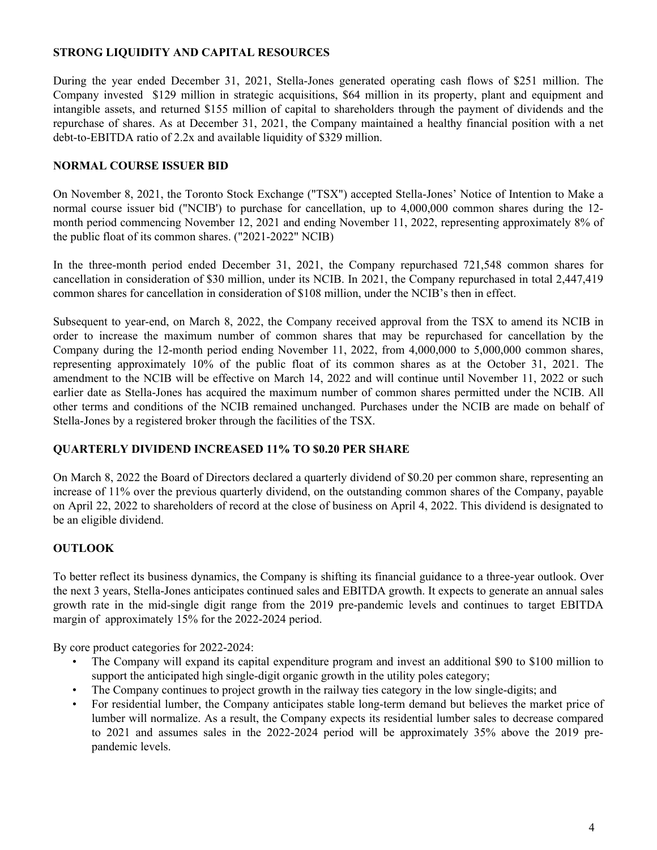### **STRONG LIQUIDITY AND CAPITAL RESOURCES**

During the year ended December 31, 2021, Stella-Jones generated operating cash flows of \$251 million. The Company invested \$129 million in strategic acquisitions, \$64 million in its property, plant and equipment and intangible assets, and returned \$155 million of capital to shareholders through the payment of dividends and the repurchase of shares. As at December 31, 2021, the Company maintained a healthy financial position with a net debt-to-EBITDA ratio of 2.2x and available liquidity of \$329 million.

### **NORMAL COURSE ISSUER BID**

On November 8, 2021, the Toronto Stock Exchange ("TSX") accepted Stella-Jones' Notice of Intention to Make a normal course issuer bid ("NCIB') to purchase for cancellation, up to 4,000,000 common shares during the 12 month period commencing November 12, 2021 and ending November 11, 2022, representing approximately 8% of the public float of its common shares. ("2021-2022" NCIB)

In the three-month period ended December 31, 2021, the Company repurchased 721,548 common shares for cancellation in consideration of \$30 million, under its NCIB. In 2021, the Company repurchased in total 2,447,419 common shares for cancellation in consideration of \$108 million, under the NCIB's then in effect.

Subsequent to year-end, on March 8, 2022, the Company received approval from the TSX to amend its NCIB in order to increase the maximum number of common shares that may be repurchased for cancellation by the Company during the 12-month period ending November 11, 2022, from 4,000,000 to 5,000,000 common shares, representing approximately 10% of the public float of its common shares as at the October 31, 2021. The amendment to the NCIB will be effective on March 14, 2022 and will continue until November 11, 2022 or such earlier date as Stella-Jones has acquired the maximum number of common shares permitted under the NCIB. All other terms and conditions of the NCIB remained unchanged. Purchases under the NCIB are made on behalf of Stella-Jones by a registered broker through the facilities of the TSX.

### **QUARTERLY DIVIDEND INCREASED 11% TO \$0.20 PER SHARE**

On March 8, 2022 the Board of Directors declared a quarterly dividend of \$0.20 per common share, representing an increase of 11% over the previous quarterly dividend, on the outstanding common shares of the Company, payable on April 22, 2022 to shareholders of record at the close of business on April 4, 2022. This dividend is designated to be an eligible dividend.

## **OUTLOOK**

To better reflect its business dynamics, the Company is shifting its financial guidance to a three-year outlook. Over the next 3 years, Stella-Jones anticipates continued sales and EBITDA growth. It expects to generate an annual sales growth rate in the mid-single digit range from the 2019 pre-pandemic levels and continues to target EBITDA margin of approximately 15% for the 2022-2024 period.

By core product categories for 2022-2024:

- The Company will expand its capital expenditure program and invest an additional \$90 to \$100 million to support the anticipated high single-digit organic growth in the utility poles category;
- The Company continues to project growth in the railway ties category in the low single-digits; and
- For residential lumber, the Company anticipates stable long-term demand but believes the market price of lumber will normalize. As a result, the Company expects its residential lumber sales to decrease compared to 2021 and assumes sales in the 2022-2024 period will be approximately 35% above the 2019 prepandemic levels.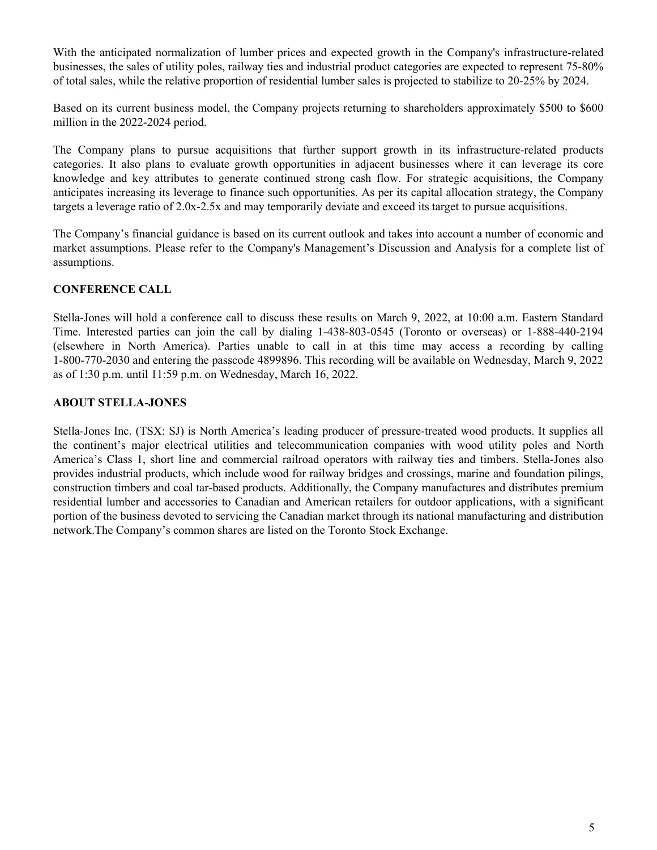With the anticipated normalization of lumber prices and expected growth in the Company's infrastructure-related businesses, the sales of utility poles, railway ties and industrial product categories are expected to represent 75-80% of total sales, while the relative proportion of residential lumber sales is projected to stabilize to 20-25% by 2024.

Based on its current business model, the Company projects returning to shareholders approximately \$500 to \$600 million in the 2022-2024 period.

The Company plans to pursue acquisitions that further support growth in its infrastructure-related products categories. It also plans to evaluate growth opportunities in adjacent businesses where it can leverage its core knowledge and key attributes to generate continued strong cash flow. For strategic acquisitions, the Company anticipates increasing its leverage to finance such opportunities. As per its capital allocation strategy, the Company targets a leverage ratio of 2.0x-2.5x and may temporarily deviate and exceed its target to pursue acquisitions.

The Company's financial guidance is based on its current outlook and takes into account a number of economic and market assumptions. Please refer to the Company's Management's Discussion and Analysis for a complete list of assumptions.

### **CONFERENCE CALL**

Stella-Jones will hold a conference call to discuss these results on March 9, 2022, at 10:00 a.m. Eastern Standard Time. Interested parties can join the call by dialing 1-438-803-0545 (Toronto or overseas) or 1-888-440-2194 (elsewhere in North America). Parties unable to call in at this time may access a recording by calling 1-800-770-2030 and entering the passcode 4899896. This recording will be available on Wednesday, March 9, 2022 as of 1:30 p.m. until 11:59 p.m. on Wednesday, March 16, 2022.

#### **ABOUT STELLA-JONES**

Stella-Jones Inc. (TSX: SJ) is North America's leading producer of pressure-treated wood products. It supplies all the continent's major electrical utilities and telecommunication companies with wood utility poles and North America's Class 1, short line and commercial railroad operators with railway ties and timbers. Stella-Jones also provides industrial products, which include wood for railway bridges and crossings, marine and foundation pilings, construction timbers and coal tar-based products. Additionally, the Company manufactures and distributes premium residential lumber and accessories to Canadian and American retailers for outdoor applications, with a significant portion of the business devoted to servicing the Canadian market through its national manufacturing and distribution network.The Company's common shares are listed on the Toronto Stock Exchange.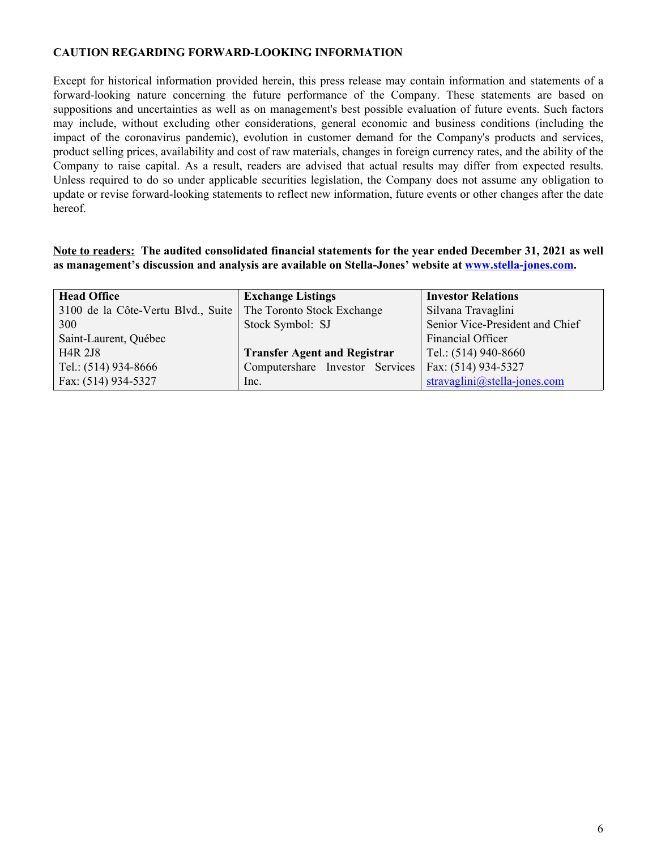#### **CAUTION REGARDING FORWARD-LOOKING INFORMATION**

Except for historical information provided herein, this press release may contain information and statements of a forward-looking nature concerning the future performance of the Company. These statements are based on suppositions and uncertainties as well as on management's best possible evaluation of future events. Such factors may include, without excluding other considerations, general economic and business conditions (including the impact of the coronavirus pandemic), evolution in customer demand for the Company's products and services, product selling prices, availability and cost of raw materials, changes in foreign currency rates, and the ability of the Company to raise capital. As a result, readers are advised that actual results may differ from expected results. Unless required to do so under applicable securities legislation, the Company does not assume any obligation to update or revise forward-looking statements to reflect new information, future events or other changes after the date hereof.

**Note to readers: The audited consolidated financial statements for the year ended December 31, 2021 as well as management's discussion and analysis are available on Stella-Jones' website at [www.stella-jones.com.](http://www.stella-jones.com)**

| <b>Head Office</b>                 | <b>Exchange Listings</b>            | <b>Investor Relations</b>       |
|------------------------------------|-------------------------------------|---------------------------------|
| 3100 de la Côte-Vertu Blvd., Suite | The Toronto Stock Exchange          | Silvana Travaglini              |
| 300                                | Stock Symbol: SJ                    | Senior Vice-President and Chief |
| Saint-Laurent, Québec              |                                     | Financial Officer               |
| <b>H4R 2J8</b>                     | <b>Transfer Agent and Registrar</b> | Tel.: $(514)$ 940-8660          |
| Tel.: (514) 934-8666               | Computershare Investor Services     | Fax: (514) 934-5327             |
| Fax: (514) 934-5327                | Inc.                                | stravaglini@stella-jones.com    |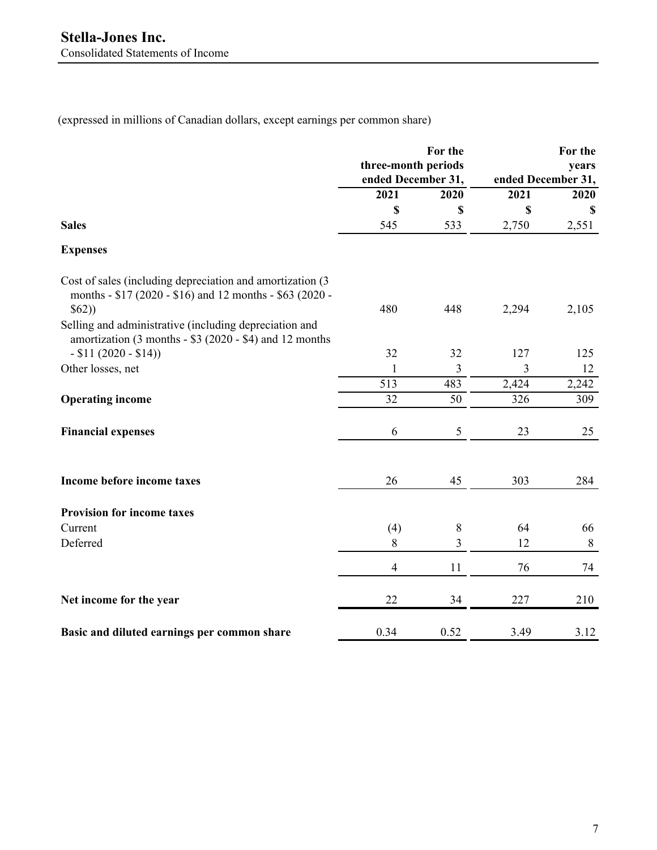(expressed in millions of Canadian dollars, except earnings per common share)

|                                                                                                                                 | For the<br>three-month periods<br>ended December 31, |                         | For the<br>years<br>ended December 31, |         |
|---------------------------------------------------------------------------------------------------------------------------------|------------------------------------------------------|-------------------------|----------------------------------------|---------|
|                                                                                                                                 | 2021                                                 | 2020                    | 2021                                   | 2020    |
|                                                                                                                                 | \$                                                   | \$                      | \$                                     | -S      |
| <b>Sales</b>                                                                                                                    | 545                                                  | 533                     | 2,750                                  | 2,551   |
| <b>Expenses</b>                                                                                                                 |                                                      |                         |                                        |         |
| Cost of sales (including depreciation and amortization (3)<br>months - \$17 (2020 - \$16) and 12 months - \$63 (2020 -<br>\$62) | 480                                                  | 448                     | 2,294                                  | 2,105   |
| Selling and administrative (including depreciation and<br>amortization (3 months - \$3 (2020 - \$4) and 12 months               |                                                      |                         |                                        |         |
| $- $11 (2020 - $14))$                                                                                                           | 32                                                   | 32                      | 127                                    | 125     |
| Other losses, net                                                                                                               | $\mathbf{1}$                                         | $\overline{3}$          | 3                                      | 12      |
|                                                                                                                                 | 513                                                  | 483                     | 2,424                                  | 2,242   |
| <b>Operating income</b>                                                                                                         | 32                                                   | 50                      | 326                                    | 309     |
| <b>Financial expenses</b>                                                                                                       | 6                                                    | $\mathfrak s$           | 23                                     | 25      |
| Income before income taxes                                                                                                      | 26                                                   | 45                      | 303                                    | 284     |
| <b>Provision for income taxes</b>                                                                                               |                                                      |                         |                                        |         |
| Current                                                                                                                         | (4)                                                  | $\,8\,$                 | 64                                     | 66      |
| Deferred                                                                                                                        | $8\,$                                                | $\overline{\mathbf{3}}$ | 12                                     | $\,8\,$ |
|                                                                                                                                 | $\overline{4}$                                       | 11                      | 76                                     | 74      |
| Net income for the year                                                                                                         | 22                                                   | 34                      | 227                                    | 210     |
| Basic and diluted earnings per common share                                                                                     | 0.34                                                 | 0.52                    | 3.49                                   | 3.12    |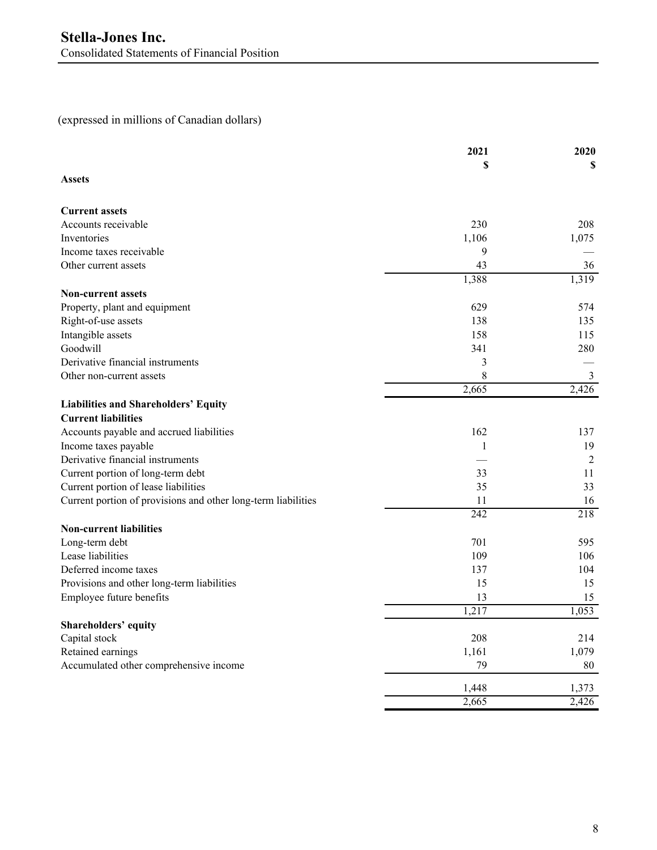# (expressed in millions of Canadian dollars)

|                                                               | 2021  | 2020           |
|---------------------------------------------------------------|-------|----------------|
| <b>Assets</b>                                                 | \$    | \$             |
| <b>Current assets</b>                                         |       |                |
| Accounts receivable                                           | 230   | 208            |
| Inventories                                                   | 1,106 | 1,075          |
| Income taxes receivable                                       | 9     |                |
| Other current assets                                          | 43    | 36             |
| <b>Non-current assets</b>                                     | 1,388 | 1,319          |
| Property, plant and equipment                                 | 629   | 574            |
| Right-of-use assets                                           | 138   | 135            |
| Intangible assets                                             | 158   | 115            |
| Goodwill                                                      | 341   | 280            |
| Derivative financial instruments                              | 3     |                |
| Other non-current assets                                      | 8     | $\mathfrak{Z}$ |
|                                                               | 2,665 | 2,426          |
| <b>Liabilities and Shareholders' Equity</b>                   |       |                |
| <b>Current liabilities</b>                                    |       |                |
| Accounts payable and accrued liabilities                      | 162   | 137            |
| Income taxes payable                                          | 1     | 19             |
| Derivative financial instruments                              |       | $\overline{2}$ |
| Current portion of long-term debt                             | 33    | 11             |
| Current portion of lease liabilities                          | 35    | 33             |
| Current portion of provisions and other long-term liabilities | 11    | 16             |
|                                                               | 242   | 218            |
| <b>Non-current liabilities</b>                                |       |                |
| Long-term debt                                                | 701   | 595            |
| Lease liabilities                                             | 109   | 106            |
| Deferred income taxes                                         | 137   | 104            |
| Provisions and other long-term liabilities                    | 15    | 15             |
| Employee future benefits                                      | 13    | 15             |
|                                                               | 1,217 | 1,053          |
| Shareholders' equity                                          |       |                |
| Capital stock                                                 | 208   | 214            |
| Retained earnings                                             | 1,161 | 1,079          |
| Accumulated other comprehensive income                        | 79    | 80             |
|                                                               | 1,448 | 1,373          |
|                                                               | 2,665 | 2,426          |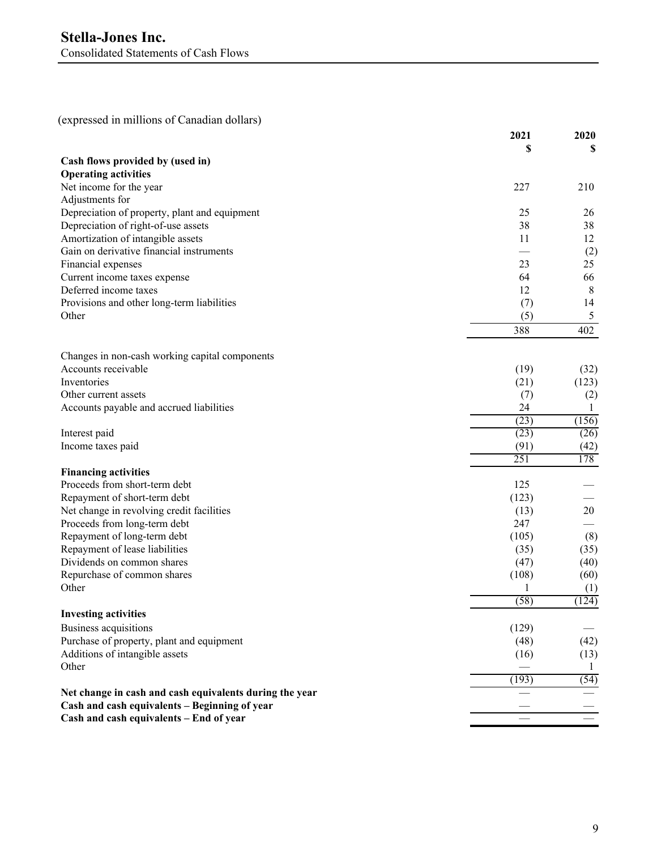(expressed in millions of Canadian dollars)

|                                                         | 2021  | 2020    |
|---------------------------------------------------------|-------|---------|
|                                                         |       | S       |
| Cash flows provided by (used in)                        |       |         |
| <b>Operating activities</b>                             |       |         |
| Net income for the year                                 | 227   | 210     |
| Adjustments for                                         |       |         |
| Depreciation of property, plant and equipment           | 25    | 26      |
| Depreciation of right-of-use assets                     | 38    | 38      |
| Amortization of intangible assets                       | 11    | 12      |
| Gain on derivative financial instruments                |       | (2)     |
| Financial expenses                                      | 23    | 25      |
| Current income taxes expense                            | 64    | 66      |
| Deferred income taxes                                   | 12    | $\,8\,$ |
| Provisions and other long-term liabilities              | (7)   | 14      |
| Other                                                   | (5)   | 5       |
|                                                         | 388   | 402     |
|                                                         |       |         |
| Changes in non-cash working capital components          |       |         |
| Accounts receivable                                     | (19)  | (32)    |
| Inventories                                             | (21)  | (123)   |
| Other current assets                                    | (7)   | (2)     |
| Accounts payable and accrued liabilities                | 24    | 1       |
|                                                         | (23)  | (156)   |
| Interest paid                                           | (23)  | (26)    |
| Income taxes paid                                       | (91)  | (42)    |
|                                                         | 251   | 178     |
| <b>Financing activities</b>                             |       |         |
| Proceeds from short-term debt                           | 125   |         |
| Repayment of short-term debt                            | (123) |         |
| Net change in revolving credit facilities               | (13)  | 20      |
| Proceeds from long-term debt                            | 247   |         |
| Repayment of long-term debt                             | (105) | (8)     |
| Repayment of lease liabilities                          | (35)  | (35)    |
| Dividends on common shares                              | (47)  | (40)    |
| Repurchase of common shares                             | (108) | (60)    |
| Other                                                   | 1     | (1)     |
|                                                         | (58)  | (124)   |
| <b>Investing activities</b>                             |       |         |
| Business acquisitions                                   | (129) |         |
| Purchase of property, plant and equipment               | (48)  | (42)    |
| Additions of intangible assets                          | (16)  | (13)    |
| Other                                                   |       | 1       |
|                                                         | (193) | (54)    |
| Net change in cash and cash equivalents during the year |       |         |
| Cash and cash equivalents - Beginning of year           |       |         |
| Cash and cash equivalents - End of year                 |       |         |
|                                                         |       |         |